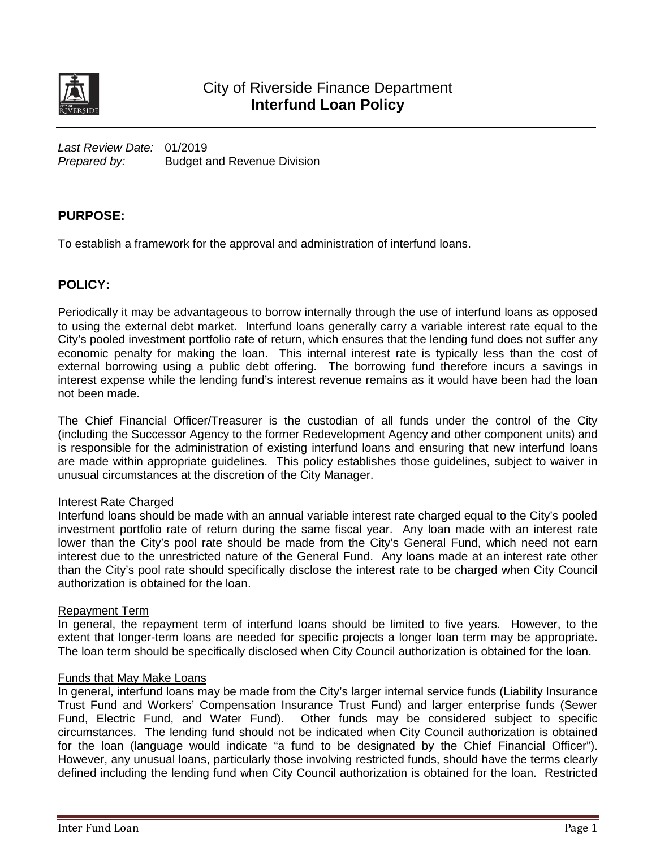

*Last Review Date:* 01/2019 *Prepared by:* Budget and Revenue Division

## **PURPOSE:**

To establish a framework for the approval and administration of interfund loans.

## **POLICY:**

Periodically it may be advantageous to borrow internally through the use of interfund loans as opposed to using the external debt market. Interfund loans generally carry a variable interest rate equal to the City's pooled investment portfolio rate of return, which ensures that the lending fund does not suffer any economic penalty for making the loan. This internal interest rate is typically less than the cost of external borrowing using a public debt offering. The borrowing fund therefore incurs a savings in interest expense while the lending fund's interest revenue remains as it would have been had the loan not been made.

The Chief Financial Officer/Treasurer is the custodian of all funds under the control of the City (including the Successor Agency to the former Redevelopment Agency and other component units) and is responsible for the administration of existing interfund loans and ensuring that new interfund loans are made within appropriate guidelines. This policy establishes those guidelines, subject to waiver in unusual circumstances at the discretion of the City Manager.

### Interest Rate Charged

Interfund loans should be made with an annual variable interest rate charged equal to the City's pooled investment portfolio rate of return during the same fiscal year. Any loan made with an interest rate lower than the City's pool rate should be made from the City's General Fund, which need not earn interest due to the unrestricted nature of the General Fund. Any loans made at an interest rate other than the City's pool rate should specifically disclose the interest rate to be charged when City Council authorization is obtained for the loan.

#### Repayment Term

In general, the repayment term of interfund loans should be limited to five years. However, to the extent that longer-term loans are needed for specific projects a longer loan term may be appropriate. The loan term should be specifically disclosed when City Council authorization is obtained for the loan.

#### Funds that May Make Loans

In general, interfund loans may be made from the City's larger internal service funds (Liability Insurance Trust Fund and Workers' Compensation Insurance Trust Fund) and larger enterprise funds (Sewer Fund, Electric Fund, and Water Fund). Other funds may be considered subject to specific circumstances. The lending fund should not be indicated when City Council authorization is obtained for the loan (language would indicate "a fund to be designated by the Chief Financial Officer"). However, any unusual loans, particularly those involving restricted funds, should have the terms clearly defined including the lending fund when City Council authorization is obtained for the loan. Restricted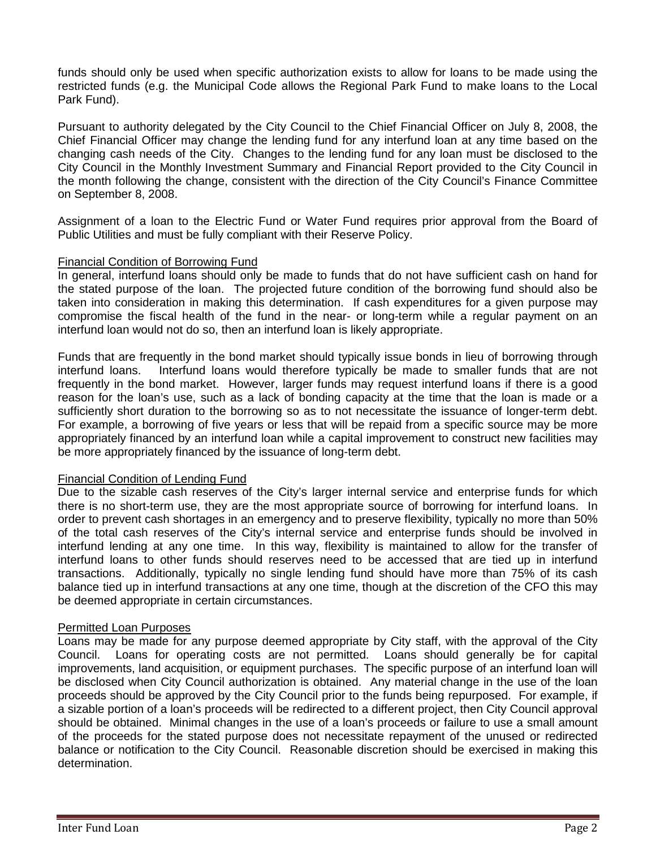funds should only be used when specific authorization exists to allow for loans to be made using the restricted funds (e.g. the Municipal Code allows the Regional Park Fund to make loans to the Local Park Fund).

Pursuant to authority delegated by the City Council to the Chief Financial Officer on July 8, 2008, the Chief Financial Officer may change the lending fund for any interfund loan at any time based on the changing cash needs of the City. Changes to the lending fund for any loan must be disclosed to the City Council in the Monthly Investment Summary and Financial Report provided to the City Council in the month following the change, consistent with the direction of the City Council's Finance Committee on September 8, 2008.

Assignment of a loan to the Electric Fund or Water Fund requires prior approval from the Board of Public Utilities and must be fully compliant with their Reserve Policy.

#### Financial Condition of Borrowing Fund

In general, interfund loans should only be made to funds that do not have sufficient cash on hand for the stated purpose of the loan. The projected future condition of the borrowing fund should also be taken into consideration in making this determination. If cash expenditures for a given purpose may compromise the fiscal health of the fund in the near- or long-term while a regular payment on an interfund loan would not do so, then an interfund loan is likely appropriate.

Funds that are frequently in the bond market should typically issue bonds in lieu of borrowing through interfund loans. Interfund loans would therefore typically be made to smaller funds that are not Interfund loans would therefore typically be made to smaller funds that are not frequently in the bond market. However, larger funds may request interfund loans if there is a good reason for the loan's use, such as a lack of bonding capacity at the time that the loan is made or a sufficiently short duration to the borrowing so as to not necessitate the issuance of longer-term debt. For example, a borrowing of five years or less that will be repaid from a specific source may be more appropriately financed by an interfund loan while a capital improvement to construct new facilities may be more appropriately financed by the issuance of long-term debt.

#### Financial Condition of Lending Fund

Due to the sizable cash reserves of the City's larger internal service and enterprise funds for which there is no short-term use, they are the most appropriate source of borrowing for interfund loans. In order to prevent cash shortages in an emergency and to preserve flexibility, typically no more than 50% of the total cash reserves of the City's internal service and enterprise funds should be involved in interfund lending at any one time. In this way, flexibility is maintained to allow for the transfer of interfund loans to other funds should reserves need to be accessed that are tied up in interfund transactions. Additionally, typically no single lending fund should have more than 75% of its cash balance tied up in interfund transactions at any one time, though at the discretion of the CFO this may be deemed appropriate in certain circumstances.

#### Permitted Loan Purposes

Loans may be made for any purpose deemed appropriate by City staff, with the approval of the City Council. Loans for operating costs are not permitted. Loans should generally be for capital improvements, land acquisition, or equipment purchases. The specific purpose of an interfund loan will be disclosed when City Council authorization is obtained. Any material change in the use of the loan proceeds should be approved by the City Council prior to the funds being repurposed. For example, if a sizable portion of a loan's proceeds will be redirected to a different project, then City Council approval should be obtained. Minimal changes in the use of a loan's proceeds or failure to use a small amount of the proceeds for the stated purpose does not necessitate repayment of the unused or redirected balance or notification to the City Council. Reasonable discretion should be exercised in making this determination.